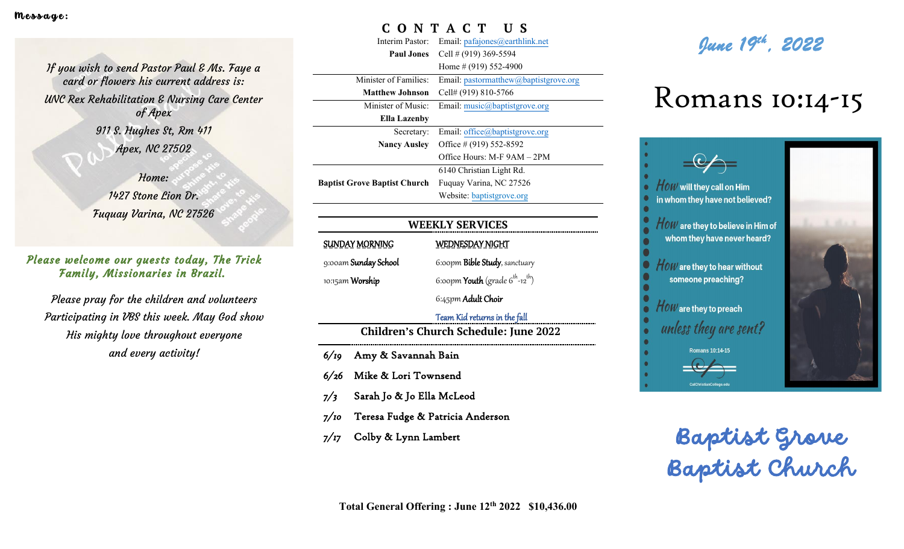If you wish to send Pastor Paul & Ms. Faye a card or flowers his current address is: UNC Rex Rehabilitation & Nursing Care Center of Apex 911 S. Hughes St, Rm 411 Apex, NC 27502

> Home: 1427 Stone Lion Dr. Fuquay Varina, NC 27526

## Family, Missionaries in Brazil. Please welcome our guests today, The Trick

Please pray for the children and volunteers Participating in VBS this week. May God show His mighty love throughout everyone and every activity!

# **C O N T A C T U S**

Interim Pastor: Email: [pafajones@earthlink.net](mailto:pafajones@earthlink.net)

**Paul Jones** Cell # (919) 369-5594 Home # (919) 552-4900 Minister of Families: Email: [pastormatthew@baptistgrove.org](mailto:pastormatthew@baptistgrove.org) **Matthew Johnson** Cell# (919) 810-5766 Minister of Music: **Ella Lazenby** Email: [music@baptistgrove.org](mailto:music@baptistgrove.org) Secretary: **Nancy Ausley** Email: [office@baptistgrove.org](mailto:office@baptistgrove.org) Office # (919) 552-8592 Office Hours: M-F 9AM – 2PM **Baptist Grove Baptist Church** Fuquay Varina, NC 27526 6140 Christian Light Rd. Website: baptistgrove.org

# **WEEKLY SERVICES**

SUNDAY MORNING 9:00am Sunday School 10:15am Worship

WEDNESDAY NIGHT 6:00pm Bible Study, sanctuary 6:00pm **Youth** (grade 6<sup>th</sup>-12<sup>th</sup>)

6:45pm Adult Choir

#### Team Kid returns in the fall

**Children's Church Schedule: June 2022**

- *6/19* Amy & Savannah Bain
- *6/26* Mike & Lori Townsend
- *7/3* Sarah Jo & Jo Ella McLeod
- *7/10* Teresa Fudge & Patricia Anderson
- *7/17* Colby & Lynn Lambert



# Romans 10:14-15



Baptist Grove Baptist Church

**Total General Offering : June 12th 2022 \$10,436.00**